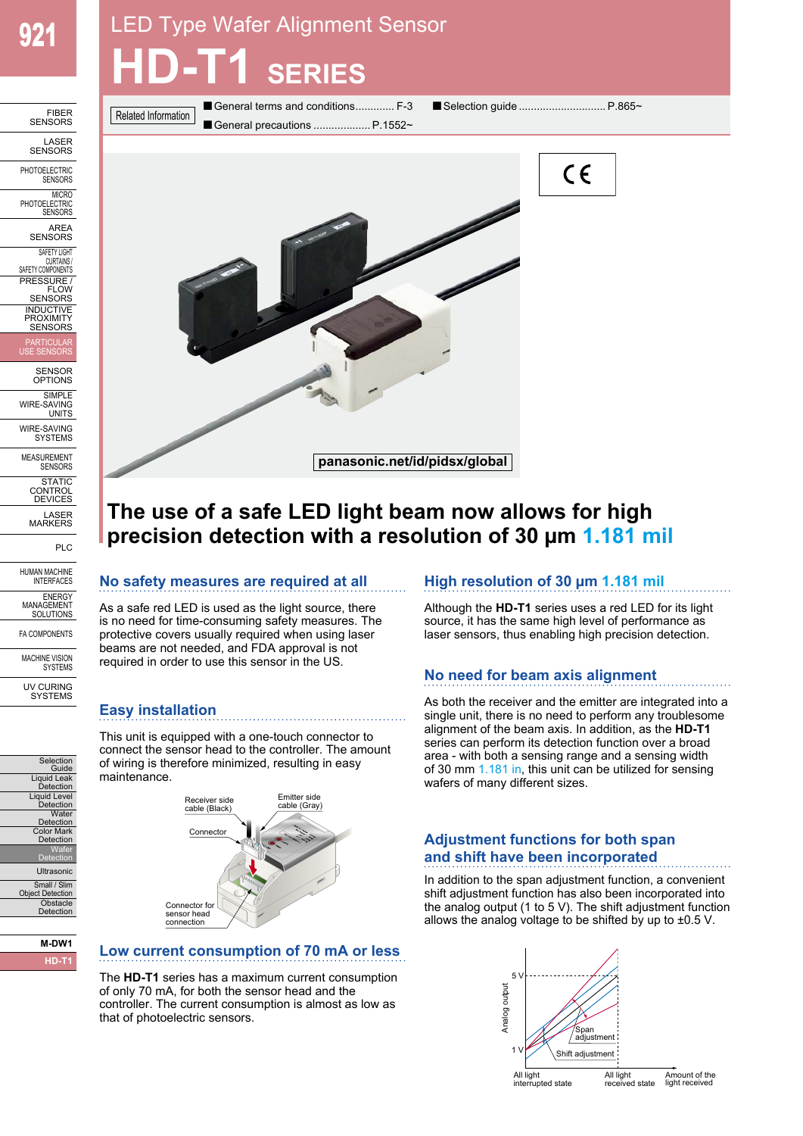# LED Type Wafer Alignment Sensor **HD-T1 SERIES**





## **The use of a safe LED light beam now allows for high precision detection with a resolution of 30 µm 1.181 mil**

## **No safety measures are required at all**

As a safe red LED is used as the light source, there is no need for time-consuming safety measures. The protective covers usually required when using laser beams are not needed, and FDA approval is not required in order to use this sensor in the US.

## **Easy installation**

This unit is equipped with a one-touch connector to connect the sensor head to the controller. The amount of wiring is therefore minimized, resulting in easy maintenance.



#### **M-DW1 HD-T1**

Selection **Guide** Liquid Leak Detection Liquid Level Water<br>Detection Color Mark Detection Wafer **Detection** Ultrasonic Small / Slim Object Detection **Obstacle** Detection

## **Low current consumption of 70 mA or less**

The **HD-T1** series has a maximum current consumption of only 70 mA, for both the sensor head and the controller. The current consumption is almost as low as that of photoelectric sensors.

## **High resolution of 30 µm 1.181 mil**

Although the **HD-T1** series uses a red LED for its light source, it has the same high level of performance as laser sensors, thus enabling high precision detection.

## **No need for beam axis alignment**

As both the receiver and the emitter are integrated into a single unit, there is no need to perform any troublesome alignment of the beam axis. In addition, as the **HD-T1** series can perform its detection function over a broad area - with both a sensing range and a sensing width of 30 mm 1.181 in, this unit can be utilized for sensing wafers of many different sizes.

## **Adjustment functions for both span and shift have been incorporated**

In addition to the span adjustment function, a convenient shift adjustment function has also been incorporated into the analog output (1 to 5 V). The shift adjustment function allows the analog voltage to be shifted by up to ±0.5 V.

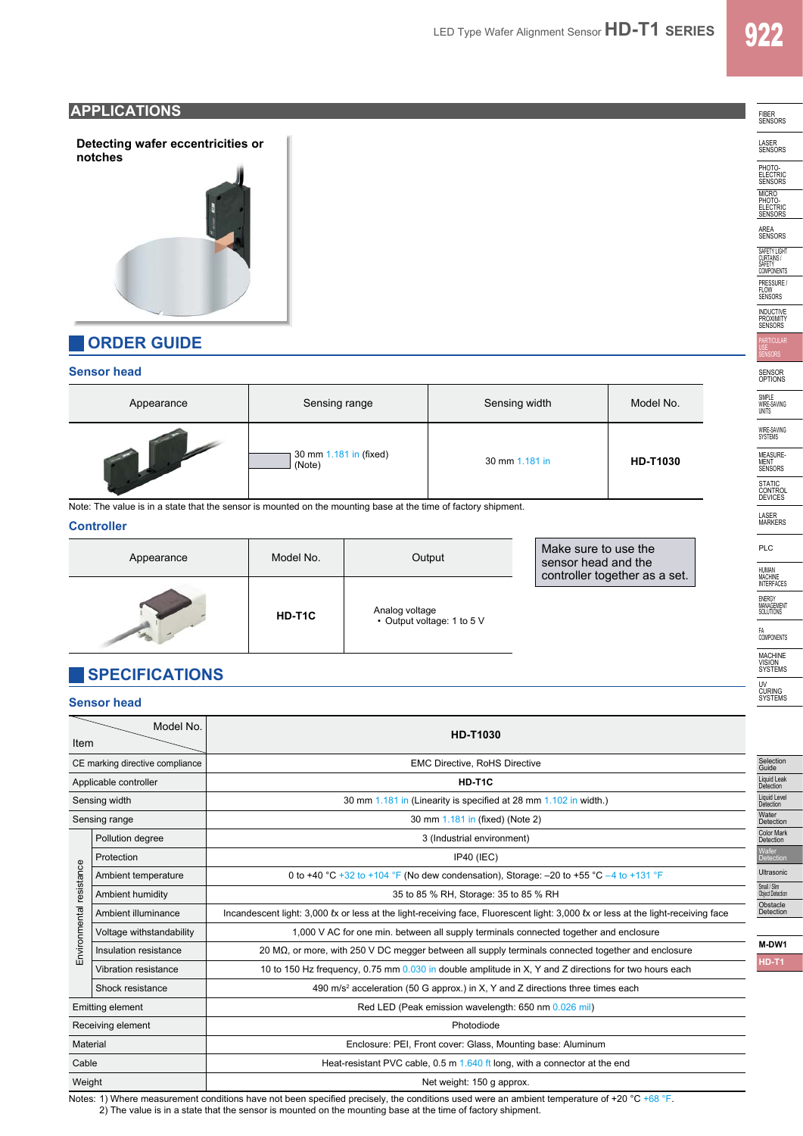FIBER SENSORS

LASER SENSORS

PHOTO-<br>ELECTRIC<br>SENSORS

MICRO<br>PHOTO-<br>ELECTRIC<br>SENSORS

AREA SENSORS

SAFETT LIGHT<br>CURTAINS /<br>SAFETY<br>COMPONENTS

PRESSURE / FLOW SENSORS

INDUCTIVE PROXIMITY SENSORS

SENSOR OPTIONS

SIMPLE WIRE-SAVING UNITS

WIRE-SAVING SYSTEMS

MEASURE-<br>MENT<br>SENSORS

STATIC<br>CONTROL<br>DEVICES

LASER MARKERS PLC

HUMAN MACHINE INTERFACES

ENERGY MANAGEMENT SOLUTIONS

FA COMPONENTS

MACHINE VISION SYSTEMS

UV CURING SYSTEMS

## **APPLICATIONS**

**Detecting wafer eccentricities or notches**



## **ORDER GUIDE**

### **Sensor head**

| Appearance | Sensing range                    | Sensing width  | Model No.       |
|------------|----------------------------------|----------------|-----------------|
|            | 30 mm 1.181 in (fixed)<br>(Note) | 30 mm 1.181 in | <b>HD-T1030</b> |

Note: The value is in a state that the sensor is mounted on the mounting base at the time of factory shipment.

#### **Controller**

| Appearance | Model No. | Output                                       | Make sure to use the<br>sensor head and the<br>controller together as a set. |  |
|------------|-----------|----------------------------------------------|------------------------------------------------------------------------------|--|
|            | HD-T1C    | Analog voltage<br>• Output voltage: 1 to 5 V |                                                                              |  |

## **SPECIFICATIONS**

#### **Sensor head**

| Model No.<br>Item        |                          | <b>HD-T1030</b>                                                                                                                   |                                  |  |
|--------------------------|--------------------------|-----------------------------------------------------------------------------------------------------------------------------------|----------------------------------|--|
|                          |                          |                                                                                                                                   |                                  |  |
|                          | Applicable controller    | HD-T1C                                                                                                                            | Liquid Leak<br>Detection         |  |
|                          | Sensing width            | 30 mm 1.181 in (Linearity is specified at 28 mm 1.102 in width.)                                                                  | Liquid Level<br>Detection        |  |
|                          | Sensing range            | 30 mm 1.181 in (fixed) (Note 2)                                                                                                   | Water<br>Detection               |  |
| Environmental resistance | Pollution degree         | 3 (Industrial environment)                                                                                                        | <b>Color Mark</b><br>Detection   |  |
|                          | Protection               | IP40 (IEC)                                                                                                                        | Wafer<br>Detection               |  |
|                          | Ambient temperature      | 0 to +40 °C +32 to +104 °F (No dew condensation), Storage: -20 to +55 °C -4 to +131 °F                                            | Ultrasonic                       |  |
|                          | Ambient humidity         | 35 to 85 % RH, Storage: 35 to 85 % RH                                                                                             | Small / Slim<br>Object Detection |  |
|                          | Ambient illuminance      | Incandescent light: 3,000 fx or less at the light-receiving face, Fluorescent light: 3,000 fx or less at the light-receiving face | Obstacle<br>Detection            |  |
|                          | Voltage withstandability | 1,000 V AC for one min. between all supply terminals connected together and enclosure                                             |                                  |  |
|                          | Insulation resistance    | 20 $\mathsf{M}\Omega$ , or more, with 250 V DC megger between all supply terminals connected together and enclosure               | M-DW1                            |  |
|                          | Vibration resistance     | 10 to 150 Hz frequency, 0.75 mm 0.030 in double amplitude in X, Y and Z directions for two hours each                             | <b>HD-T1</b>                     |  |
|                          | Shock resistance         | 490 m/s <sup>2</sup> acceleration (50 G approx.) in X, Y and Z directions three times each                                        |                                  |  |
|                          | Emitting element         | Red LED (Peak emission wavelength: 650 nm 0.026 mil)                                                                              |                                  |  |
|                          | Receiving element        | Photodiode                                                                                                                        |                                  |  |
| Material                 |                          | Enclosure: PEI, Front cover: Glass, Mounting base: Aluminum                                                                       |                                  |  |
| Cable                    |                          | Heat-resistant PVC cable, 0.5 m 1.640 ft long, with a connector at the end                                                        |                                  |  |
| Weight                   |                          | Net weight: 150 g approx.                                                                                                         |                                  |  |

Notes: 1) Where measurement conditions have not been specified precisely, the conditions used were an ambient temperature of +20 °C +68 °F.

2) The value is in a state that the sensor is mounted on the mounting base at the time of factory shipment.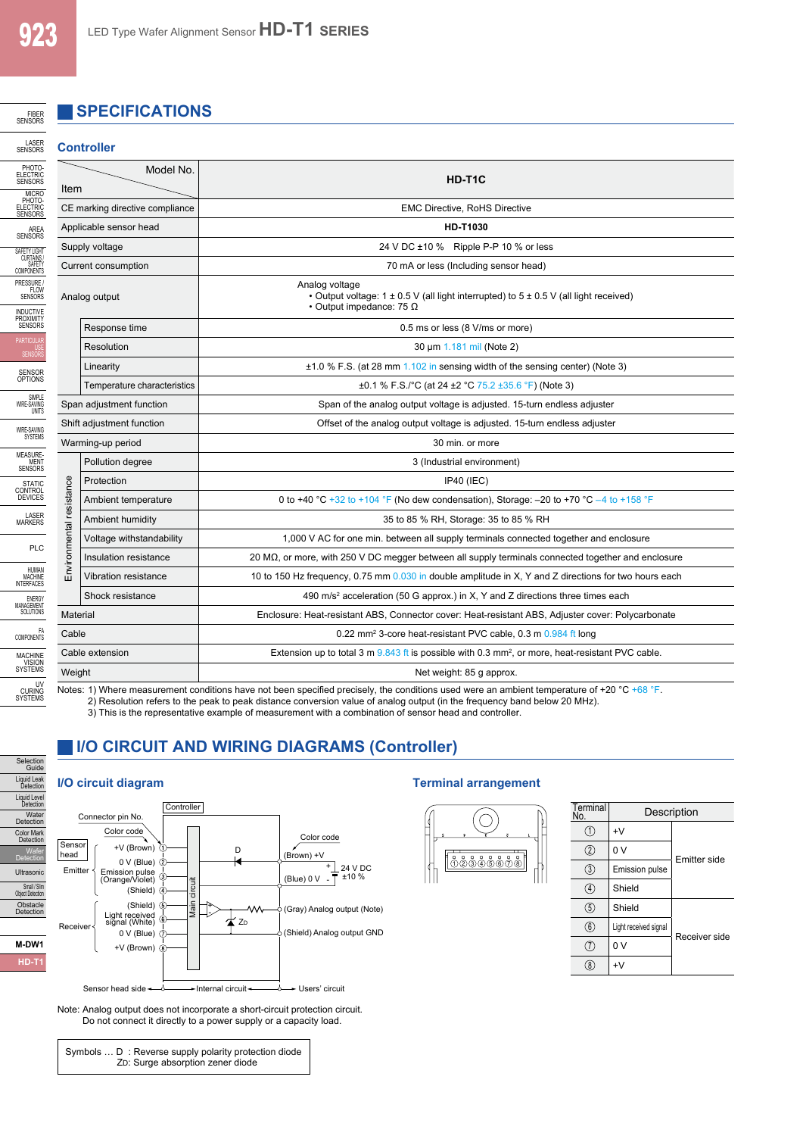FIBER<br>SENSORS

LASER<br>SENSORS

## **SPECIFICATIONS**

#### **Controller**

| PHOTO-<br>ELECTRIC<br>SENSORS<br><b>MICRO</b>                      | Model No.<br>Item                                                                                                                                                                                                                                                       |                             | HD-T1C                                                                                                                                             |  |
|--------------------------------------------------------------------|-------------------------------------------------------------------------------------------------------------------------------------------------------------------------------------------------------------------------------------------------------------------------|-----------------------------|----------------------------------------------------------------------------------------------------------------------------------------------------|--|
| PHOTO-<br>ELECTRIC<br>SENSORS                                      | CE marking directive compliance                                                                                                                                                                                                                                         |                             | <b>EMC Directive, RoHS Directive</b>                                                                                                               |  |
| AREA                                                               | Applicable sensor head                                                                                                                                                                                                                                                  |                             | <b>HD-T1030</b>                                                                                                                                    |  |
| <b>SENSORS</b><br>SAFETY LIGHT                                     | Supply voltage<br>Current consumption                                                                                                                                                                                                                                   |                             | 24 V DC ±10 % Ripple P-P 10 % or less<br>70 mA or less (Including sensor head)                                                                     |  |
| CURTAINS/<br>SAFETY<br>COMPONENTS                                  |                                                                                                                                                                                                                                                                         |                             |                                                                                                                                                    |  |
| PRESSURE /<br>FLOW<br>SENSORS<br>INDUCTIVE<br>PROXIMITY<br>SENSORS | Analog output                                                                                                                                                                                                                                                           |                             | Analog voltage<br>• Output voltage: $1 \pm 0.5$ V (all light interrupted) to $5 \pm 0.5$ V (all light received)<br>• Output impedance: 75 $\Omega$ |  |
|                                                                    |                                                                                                                                                                                                                                                                         | Response time               | 0.5 ms or less (8 V/ms or more)                                                                                                                    |  |
| PARTICULA<br>US!<br>SENSOR!                                        |                                                                                                                                                                                                                                                                         | Resolution                  | 30 um 1.181 mil (Note 2)                                                                                                                           |  |
| SENSOR<br>OPTIONS                                                  |                                                                                                                                                                                                                                                                         | Linearity                   | $\pm$ 1.0 % F.S. (at 28 mm 1.102 in sensing width of the sensing center) (Note 3)                                                                  |  |
| <b>SIMPLE</b>                                                      |                                                                                                                                                                                                                                                                         | Temperature characteristics | ±0.1 % F.S./°C (at 24 ±2 °C 75.2 ±35.6 °F) (Note 3)                                                                                                |  |
| WIRE-SAVING                                                        | Span adjustment function                                                                                                                                                                                                                                                |                             | Span of the analog output voltage is adjusted. 15-turn endless adjuster                                                                            |  |
| UNITS<br>WIRE-SAVING                                               | Shift adjustment function<br>Warming-up period                                                                                                                                                                                                                          |                             | Offset of the analog output voltage is adjusted. 15-turn endless adjuster                                                                          |  |
|                                                                    |                                                                                                                                                                                                                                                                         |                             | 30 min. or more                                                                                                                                    |  |
|                                                                    |                                                                                                                                                                                                                                                                         | Pollution degree            | 3 (Industrial environment)                                                                                                                         |  |
|                                                                    |                                                                                                                                                                                                                                                                         | Protection                  | IP40 (IEC)                                                                                                                                         |  |
|                                                                    |                                                                                                                                                                                                                                                                         | Ambient temperature         | 0 to +40 °C +32 to +104 °F (No dew condensation), Storage: -20 to +70 °C -4 to +158 °F                                                             |  |
|                                                                    | Environmental resistance                                                                                                                                                                                                                                                | Ambient humidity            | 35 to 85 % RH, Storage: 35 to 85 % RH                                                                                                              |  |
|                                                                    |                                                                                                                                                                                                                                                                         | Voltage withstandability    | 1,000 V AC for one min. between all supply terminals connected together and enclosure                                                              |  |
|                                                                    |                                                                                                                                                                                                                                                                         | Insulation resistance       | 20 $\mathsf{M}\Omega$ , or more, with 250 V DC megger between all supply terminals connected together and enclosure                                |  |
|                                                                    |                                                                                                                                                                                                                                                                         | Vibration resistance        | 10 to 150 Hz frequency, 0.75 mm 0.030 in double amplitude in X, Y and Z directions for two hours each                                              |  |
|                                                                    |                                                                                                                                                                                                                                                                         | Shock resistance            | 490 m/s <sup>2</sup> acceleration (50 G approx.) in X, Y and Z directions three times each                                                         |  |
|                                                                    | Material                                                                                                                                                                                                                                                                |                             | Enclosure: Heat-resistant ABS, Connector cover: Heat-resistant ABS, Adjuster cover: Polycarbonate                                                  |  |
|                                                                    | Cable                                                                                                                                                                                                                                                                   |                             | 0.22 mm <sup>2</sup> 3-core heat-resistant PVC cable, 0.3 m 0.984 ft long                                                                          |  |
|                                                                    | Cable extension<br>Weight                                                                                                                                                                                                                                               |                             | Extension up to total 3 m $9.843$ ft is possible with 0.3 mm <sup>2</sup> , or more, heat-resistant PVC cable.                                     |  |
|                                                                    |                                                                                                                                                                                                                                                                         |                             | Net weight: 85 g approx.                                                                                                                           |  |
| UV<br>CURING<br>SYSTEMS                                            | Notes: 1) Where measurement conditions have not been specified precisely, the conditions used were an ambient temperature of +20 °C +68 °F.<br>2) Pecolution refers to the neak to peak distance conversion value of analog output (in the frequency band below 20 MHz) |                             |                                                                                                                                                    |  |

2) Resolution refers to the peak to peak distance conversion value of analog output (in the frequency band below 20 MHz).

3) This is the representative example of measurement with a combination of sensor head and controller.

## **I/O CIRCUIT AND WIRING DIAGRAMS (Controller)**

## Selection Guide Liquid Leak Detection Liquid Level Detection Water Detection Color Mark Detection Wafer Detection Ultrasonic Small / Slim Object Detection Obstacle Detection



Note: Analog output does not incorporate a short-circuit protection circuit. Do not connect it directly to a power supply or a capacity load.

Symbols ... D : Reverse supply polarity protection diode ZD: Surge absorption zener diode

#### **I/O circuit diagram Terminal arrangement**



| Terminal<br>No.   | Description           |                     |  |
|-------------------|-----------------------|---------------------|--|
|                   | $+V$                  |                     |  |
| $\left( 2\right)$ | 0 V                   | <b>Emitter side</b> |  |
| $\left(3\right)$  | Emission pulse        |                     |  |
| $\left(4\right)$  | Shield                |                     |  |
| $\left(5\right)$  | Shield                |                     |  |
| (6)               | Light received signal | Receiver side       |  |
|                   | 0 V                   |                     |  |
|                   | +٧                    |                     |  |